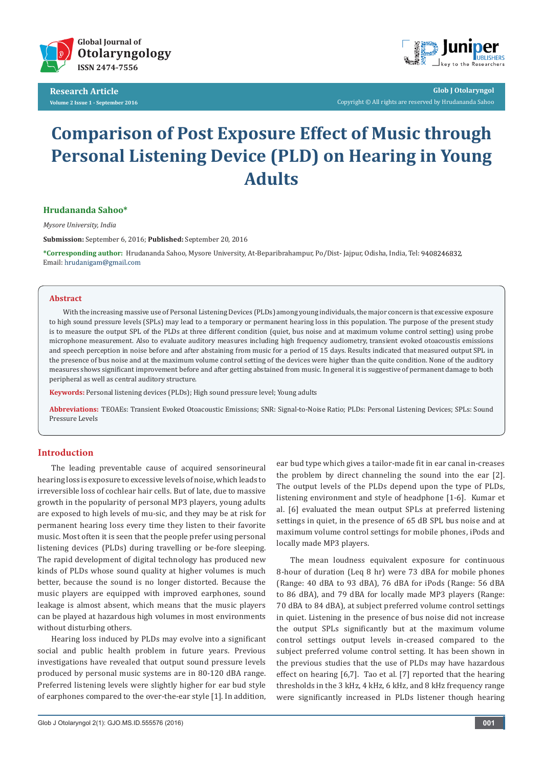

**Research Article Volume 2 Issue 1 - September 2016**



**Glob J Otolaryngol** Copyright © All rights are reserved by Hrudananda Sahoo

# **Comparison of Post Exposure Effect of Music through Personal Listening Device (PLD) on Hearing in Young Adults**

## **Hrudananda Sahoo\***

*Mysore University, India*

**Submission:** September 6, 2016; **Published:** September 20, 2016

**\*Corresponding author:** Hrudananda Sahoo, Mysore University, At-Beparibrahampur, Po/Dist- Jajpur, Odisha, India, Tel: , Email: hrudanigam@gmail.com

#### **Abstract**

With the increasing massive use of Personal Listening Devices (PLDs) among young individuals, the major concern is that excessive exposure to high sound pressure levels (SPLs) may lead to a temporary or permanent hearing loss in this population. The purpose of the present study is to measure the output SPL of the PLDs at three different condition (quiet, bus noise and at maximum volume control setting) using probe microphone measurement. Also to evaluate auditory measures including high frequency audiometry, transient evoked otoacoustis emissions and speech perception in noise before and after abstaining from music for a period of 15 days. Results indicated that measured output SPL in the presence of bus noise and at the maximum volume control setting of the devices were higher than the quite condition. None of the auditory measures shows significant improvement before and after getting abstained from music. In general it is suggestive of permanent damage to both peripheral as well as central auditory structure.

**Keywords:** Personal listening devices (PLDs); High sound pressure level; Young adults

**Abbreviations:** TEOAEs: Transient Evoked Otoacoustic Emissions; SNR: Signal-to-Noise Ratio; PLDs: Personal Listening Devices; SPLs: Sound Pressure Levels

# **Introduction**

The leading preventable cause of acquired sensorineural hearing loss is exposure to excessive levels of noise, which leads to irreversible loss of cochlear hair cells. But of late, due to massive growth in the popularity of personal MP3 players, young adults are exposed to high levels of mu-sic, and they may be at risk for permanent hearing loss every time they listen to their favorite music. Most often it is seen that the people prefer using personal listening devices (PLDs) during travelling or be-fore sleeping. The rapid development of digital technology has produced new kinds of PLDs whose sound quality at higher volumes is much better, because the sound is no longer distorted. Because the music players are equipped with improved earphones, sound leakage is almost absent, which means that the music players can be played at hazardous high volumes in most environments without disturbing others.

Hearing loss induced by PLDs may evolve into a significant social and public health problem in future years. Previous investigations have revealed that output sound pressure levels produced by personal music systems are in 80-120 dBA range. Preferred listening levels were slightly higher for ear bud style of earphones compared to the over-the-ear style [1]. In addition,

ear bud type which gives a tailor-made fit in ear canal in-creases the problem by direct channeling the sound into the ear [2]. The output levels of the PLDs depend upon the type of PLDs, listening environment and style of headphone [1-6]. Kumar et al. [6] evaluated the mean output SPLs at preferred listening settings in quiet, in the presence of 65 dB SPL bus noise and at maximum volume control settings for mobile phones, iPods and locally made MP3 players.

The mean loudness equivalent exposure for continuous 8-hour of duration (Leq 8 hr) were 73 dBA for mobile phones (Range: 40 dBA to 93 dBA), 76 dBA for iPods (Range: 56 dBA to 86 dBA), and 79 dBA for locally made MP3 players (Range: 70 dBA to 84 dBA), at subject preferred volume control settings in quiet. Listening in the presence of bus noise did not increase the output SPLs significantly but at the maximum volume control settings output levels in-creased compared to the subject preferred volume control setting. It has been shown in the previous studies that the use of PLDs may have hazardous effect on hearing [6,7]. Tao et al. [7] reported that the hearing thresholds in the 3 kHz, 4 kHz, 6 kHz, and 8 kHz frequency range were significantly increased in PLDs listener though hearing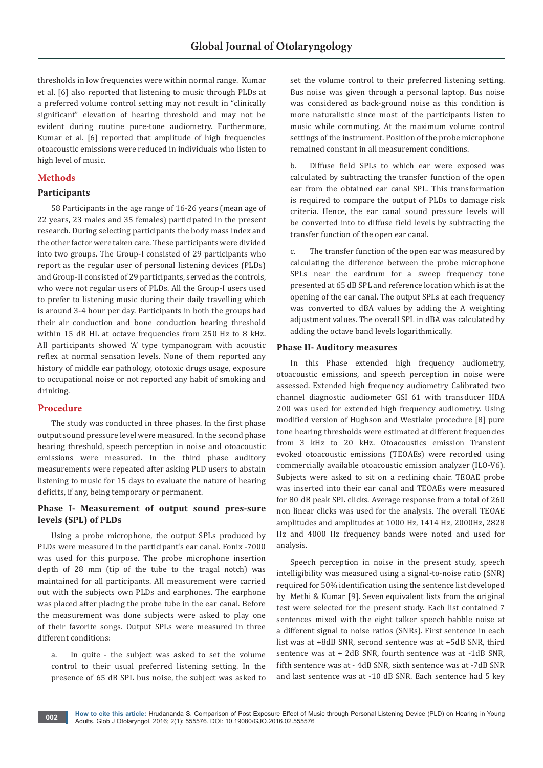thresholds in low frequencies were within normal range. Kumar et al. [6] also reported that listening to music through PLDs at a preferred volume control setting may not result in "clinically significant" elevation of hearing threshold and may not be evident during routine pure-tone audiometry. Furthermore, Kumar et al. [6] reported that amplitude of high frequencies otoacoustic emissions were reduced in individuals who listen to high level of music.

# **Methods**

# **Participants**

58 Participants in the age range of 16-26 years (mean age of 22 years, 23 males and 35 females) participated in the present research. During selecting participants the body mass index and the other factor were taken care. These participants were divided into two groups. The Group-I consisted of 29 participants who report as the regular user of personal listening devices (PLDs) and Group-II consisted of 29 participants, served as the controls, who were not regular users of PLDs. All the Group-I users used to prefer to listening music during their daily travelling which is around 3-4 hour per day. Participants in both the groups had their air conduction and bone conduction hearing threshold within 15 dB HL at octave frequencies from 250 Hz to 8 kHz. All participants showed 'A' type tympanogram with acoustic reflex at normal sensation levels. None of them reported any history of middle ear pathology, ototoxic drugs usage, exposure to occupational noise or not reported any habit of smoking and drinking.

## **Procedure**

The study was conducted in three phases. In the first phase output sound pressure level were measured. In the second phase hearing threshold, speech perception in noise and otoacoustic emissions were measured. In the third phase auditory measurements were repeated after asking PLD users to abstain listening to music for 15 days to evaluate the nature of hearing deficits, if any, being temporary or permanent.

# **Phase I- Measurement of output sound pres-sure levels (SPL) of PLDs**

Using a probe microphone, the output SPLs produced by PLDs were measured in the participant's ear canal. Fonix -7000 was used for this purpose. The probe microphone insertion depth of 28 mm (tip of the tube to the tragal notch) was maintained for all participants. All measurement were carried out with the subjects own PLDs and earphones. The earphone was placed after placing the probe tube in the ear canal. Before the measurement was done subjects were asked to play one of their favorite songs. Output SPLs were measured in three different conditions:

a. In quite - the subject was asked to set the volume control to their usual preferred listening setting. In the presence of 65 dB SPL bus noise, the subject was asked to

set the volume control to their preferred listening setting. Bus noise was given through a personal laptop. Bus noise was considered as back-ground noise as this condition is more naturalistic since most of the participants listen to music while commuting. At the maximum volume control settings of the instrument. Position of the probe microphone remained constant in all measurement conditions.

b. Diffuse field SPLs to which ear were exposed was calculated by subtracting the transfer function of the open ear from the obtained ear canal SPL. This transformation is required to compare the output of PLDs to damage risk criteria. Hence, the ear canal sound pressure levels will be converted into to diffuse field levels by subtracting the transfer function of the open ear canal.

c. The transfer function of the open ear was measured by calculating the difference between the probe microphone SPLs near the eardrum for a sweep frequency tone presented at 65 dB SPL and reference location which is at the opening of the ear canal. The output SPLs at each frequency was converted to dBA values by adding the A weighting adjustment values. The overall SPL in dBA was calculated by adding the octave band levels logarithmically.

## **Phase II- Auditory measures**

In this Phase extended high frequency audiometry, otoacoustic emissions, and speech perception in noise were assessed. Extended high frequency audiometry Calibrated two channel diagnostic audiometer GSI 61 with transducer HDA 200 was used for extended high frequency audiometry. Using modified version of Hughson and Westlake procedure [8] pure tone hearing thresholds were estimated at different frequencies from 3 kHz to 20 kHz. Otoacoustics emission Transient evoked otoacoustic emissions (TEOAEs) were recorded using commercially available otoacoustic emission analyzer (ILO-V6). Subjects were asked to sit on a reclining chair. TEOAE probe was inserted into their ear canal and TEOAEs were measured for 80 dB peak SPL clicks. Average response from a total of 260 non linear clicks was used for the analysis. The overall TEOAE amplitudes and amplitudes at 1000 Hz, 1414 Hz, 2000Hz, 2828 Hz and 4000 Hz frequency bands were noted and used for analysis.

Speech perception in noise in the present study, speech intelligibility was measured using a signal-to-noise ratio (SNR) required for 50% identification using the sentence list developed by Methi & Kumar [9]. Seven equivalent lists from the original test were selected for the present study. Each list contained 7 sentences mixed with the eight talker speech babble noise at a different signal to noise ratios (SNRs). First sentence in each list was at +8dB SNR, second sentence was at +5dB SNR, third sentence was at + 2dB SNR, fourth sentence was at -1dB SNR, fifth sentence was at - 4dB SNR, sixth sentence was at -7dB SNR and last sentence was at -10 dB SNR. Each sentence had 5 key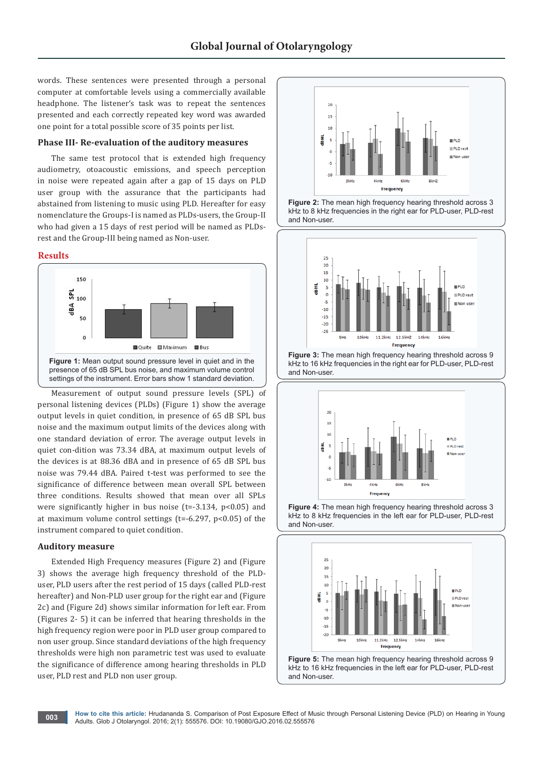words. These sentences were presented through a personal computer at comfortable levels using a commercially available headphone. The listener's task was to repeat the sentences presented and each correctly repeated key word was awarded one point for a total possible score of 35 points per list.

#### **Phase III- Re-evaluation of the auditory measures**

The same test protocol that is extended high frequency audiometry, otoacoustic emissions, and speech perception in noise were repeated again after a gap of 15 days on PLD user group with the assurance that the participants had abstained from listening to music using PLD. Hereafter for easy nomenclature the Groups-I is named as PLDs-users, the Group-II who had given a 15 days of rest period will be named as PLDsrest and the Group-III being named as Non-user.

#### **Results**



Measurement of output sound pressure levels (SPL) of personal listening devices (PLDs) (Figure 1) show the average output levels in quiet condition, in presence of 65 dB SPL bus noise and the maximum output limits of the devices along with one standard deviation of error. The average output levels in quiet con-dition was 73.34 dBA, at maximum output levels of the devices is at 88.36 dBA and in presence of 65 dB SPL bus noise was 79.44 dBA. Paired t-test was performed to see the significance of difference between mean overall SPL between three conditions. Results showed that mean over all SPLs were significantly higher in bus noise (t=-3.134, p<0.05) and at maximum volume control settings ( $t = -6.297$ ,  $p < 0.05$ ) of the instrument compared to quiet condition.

## **Auditory measure**

Extended High Frequency measures (Figure 2) and (Figure 3) shows the average high frequency threshold of the PLDuser, PLD users after the rest period of 15 days (called PLD-rest hereafter) and Non-PLD user group for the right ear and (Figure 2c) and (Figure 2d) shows similar information for left ear. From (Figures 2- 5) it can be inferred that hearing thresholds in the high frequency region were poor in PLD user group compared to non user group. Since standard deviations of the high frequency thresholds were high non parametric test was used to evaluate the significance of difference among hearing thresholds in PLD user, PLD rest and PLD non user group.



**Figure 2:** The mean high frequency hearing threshold across 3 kHz to 8 kHz frequencies in the right ear for PLD-user, PLD-rest and Non-user.



**Figure 3:** The mean high frequency hearing threshold across 9 kHz to 16 kHz frequencies in the right ear for PLD-user, PLD-rest and Non-user.





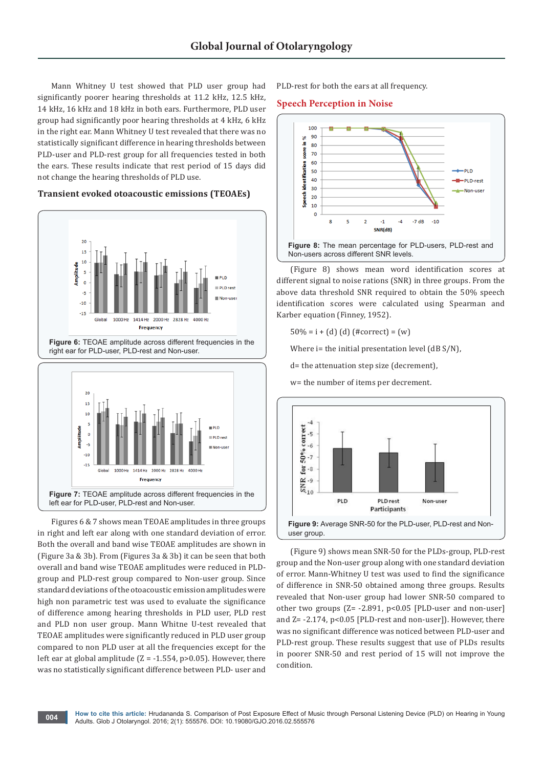Mann Whitney U test showed that PLD user group had significantly poorer hearing thresholds at 11.2 kHz, 12.5 kHz, 14 kHz, 16 kHz and 18 kHz in both ears. Furthermore, PLD user group had significantly poor hearing thresholds at 4 kHz, 6 kHz in the right ear. Mann Whitney U test revealed that there was no statistically significant difference in hearing thresholds between PLD-user and PLD-rest group for all frequencies tested in both the ears. These results indicate that rest period of 15 days did not change the hearing thresholds of PLD use.

## **Transient evoked otoacoustic emissions (TEOAEs)**







Figures 6 & 7 shows mean TEOAE amplitudes in three groups in right and left ear along with one standard deviation of error. Both the overall and band wise TEOAE amplitudes are shown in (Figure 3a & 3b). From (Figures 3a & 3b) it can be seen that both overall and band wise TEOAE amplitudes were reduced in PLDgroup and PLD-rest group compared to Non-user group. Since standard deviations of the otoacoustic emission amplitudes were high non parametric test was used to evaluate the significance of difference among hearing thresholds in PLD user, PLD rest and PLD non user group. Mann Whitne U-test revealed that TEOAE amplitudes were significantly reduced in PLD user group compared to non PLD user at all the frequencies except for the left ear at global amplitude  $(Z = -1.554, p > 0.05)$ . However, there was no statistically significant difference between PLD- user and

PLD-rest for both the ears at all frequency.

#### **Speech Perception in Noise**



(Figure 8) shows mean word identification scores at different signal to noise rations (SNR) in three groups. From the above data threshold SNR required to obtain the 50% speech identification scores were calculated using Spearman and Karber equation (Finney, 1952).

 $50\% = i + (d)$  (d) (#correct) = (w)

Where  $i$ = the initial presentation level (dB S/N),

d= the attenuation step size (decrement),

w= the number of items per decrement.



(Figure 9) shows mean SNR-50 for the PLDs-group, PLD-rest group and the Non-user group along with one standard deviation of error. Mann-Whitney U test was used to find the significance of difference in SNR-50 obtained among three groups. Results revealed that Non-user group had lower SNR-50 compared to other two groups (Z= -2.891, p<0.05 [PLD-user and non-user] and Z= -2.174, p<0.05 [PLD-rest and non-user]). However, there was no significant difference was noticed between PLD-user and PLD-rest group. These results suggest that use of PLDs results in poorer SNR-50 and rest period of 15 will not improve the condition.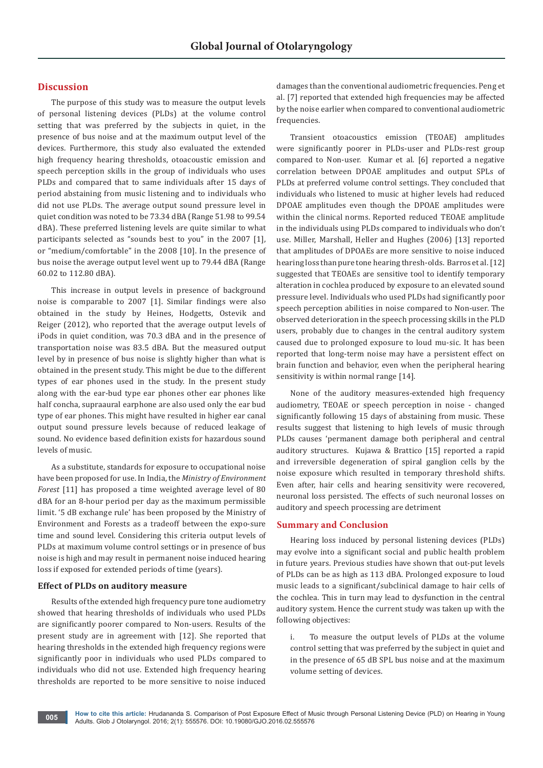# **Discussion**

The purpose of this study was to measure the output levels of personal listening devices (PLDs) at the volume control setting that was preferred by the subjects in quiet, in the presence of bus noise and at the maximum output level of the devices. Furthermore, this study also evaluated the extended high frequency hearing thresholds, otoacoustic emission and speech perception skills in the group of individuals who uses PLDs and compared that to same individuals after 15 days of period abstaining from music listening and to individuals who did not use PLDs. The average output sound pressure level in quiet condition was noted to be 73.34 dBA (Range 51.98 to 99.54 dBA). These preferred listening levels are quite similar to what participants selected as "sounds best to you" in the 2007 [1], or "medium/comfortable" in the 2008 [10]. In the presence of bus noise the average output level went up to 79.44 dBA (Range 60.02 to 112.80 dBA).

This increase in output levels in presence of background noise is comparable to 2007 [1]. Similar findings were also obtained in the study by Heines, Hodgetts, Ostevik and Reiger (2012), who reported that the average output levels of iPods in quiet condition, was 70.3 dBA and in the presence of transportation noise was 83.5 dBA. But the measured output level by in presence of bus noise is slightly higher than what is obtained in the present study. This might be due to the different types of ear phones used in the study. In the present study along with the ear-bud type ear phones other ear phones like half concha, supraaural earphone are also used only the ear bud type of ear phones. This might have resulted in higher ear canal output sound pressure levels because of reduced leakage of sound. No evidence based definition exists for hazardous sound levels of music.

As a substitute, standards for exposure to occupational noise have been proposed for use. In India, the *Ministry of Environment Forest* [11] has proposed a time weighted average level of 80 dBA for an 8-hour period per day as the maximum permissible limit. '5 dB exchange rule' has been proposed by the Ministry of Environment and Forests as a tradeoff between the expo-sure time and sound level. Considering this criteria output levels of PLDs at maximum volume control settings or in presence of bus noise is high and may result in permanent noise induced hearing loss if exposed for extended periods of time (years).

## **Effect of PLDs on auditory measure**

Results of the extended high frequency pure tone audiometry showed that hearing thresholds of individuals who used PLDs are significantly poorer compared to Non-users. Results of the present study are in agreement with [12]. She reported that hearing thresholds in the extended high frequency regions were significantly poor in individuals who used PLDs compared to individuals who did not use. Extended high frequency hearing thresholds are reported to be more sensitive to noise induced damages than the conventional audiometric frequencies. Peng et al. [7] reported that extended high frequencies may be affected by the noise earlier when compared to conventional audiometric frequencies.

Transient otoacoustics emission (TEOAE) amplitudes were significantly poorer in PLDs-user and PLDs-rest group compared to Non-user. Kumar et al. [6] reported a negative correlation between DPOAE amplitudes and output SPLs of PLDs at preferred volume control settings. They concluded that individuals who listened to music at higher levels had reduced DPOAE amplitudes even though the DPOAE amplitudes were within the clinical norms. Reported reduced TEOAE amplitude in the individuals using PLDs compared to individuals who don't use. Miller, Marshall, Heller and Hughes (2006) [13] reported that amplitudes of DPOAEs are more sensitive to noise induced hearing loss than pure tone hearing thresh-olds. Barros et al. [12] suggested that TEOAEs are sensitive tool to identify temporary alteration in cochlea produced by exposure to an elevated sound pressure level. Individuals who used PLDs had significantly poor speech perception abilities in noise compared to Non-user. The observed deterioration in the speech processing skills in the PLD users, probably due to changes in the central auditory system caused due to prolonged exposure to loud mu-sic. It has been reported that long-term noise may have a persistent effect on brain function and behavior, even when the peripheral hearing sensitivity is within normal range [14].

None of the auditory measures-extended high frequency audiometry, TEOAE or speech perception in noise - changed significantly following 15 days of abstaining from music. These results suggest that listening to high levels of music through PLDs causes 'permanent damage both peripheral and central auditory structures. Kujawa & Brattico [15] reported a rapid and irreversible degeneration of spiral ganglion cells by the noise exposure which resulted in temporary threshold shifts. Even after, hair cells and hearing sensitivity were recovered, neuronal loss persisted. The effects of such neuronal losses on auditory and speech processing are detriment

#### **Summary and Conclusion**

Hearing loss induced by personal listening devices (PLDs) may evolve into a significant social and public health problem in future years. Previous studies have shown that out-put levels of PLDs can be as high as 113 dBA. Prolonged exposure to loud music leads to a significant/subclinical damage to hair cells of the cochlea. This in turn may lead to dysfunction in the central auditory system. Hence the current study was taken up with the following objectives:

To measure the output levels of PLDs at the volume control setting that was preferred by the subject in quiet and in the presence of 65 dB SPL bus noise and at the maximum volume setting of devices.